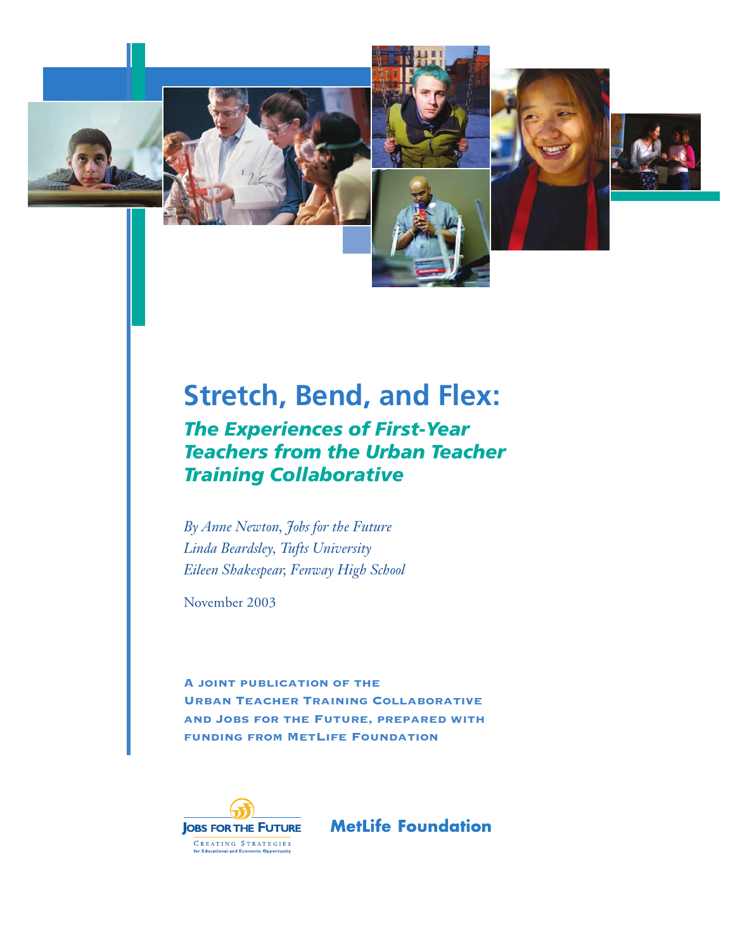







# **Stretch, Bend, and Flex:**

*The Experiences of First-Year Teachers from the Urban Teacher Training Collaborative*

*By Anne Newton, Jobs for the Future Linda Beardsley, Tufts University Eileen Shakespear, Fenway High School*

November 2003

A joint publication of the Urban Teacher Training Collaborative and Jobs for the Future, prepared with funding from MetLife Foundation



**MetLife Foundation**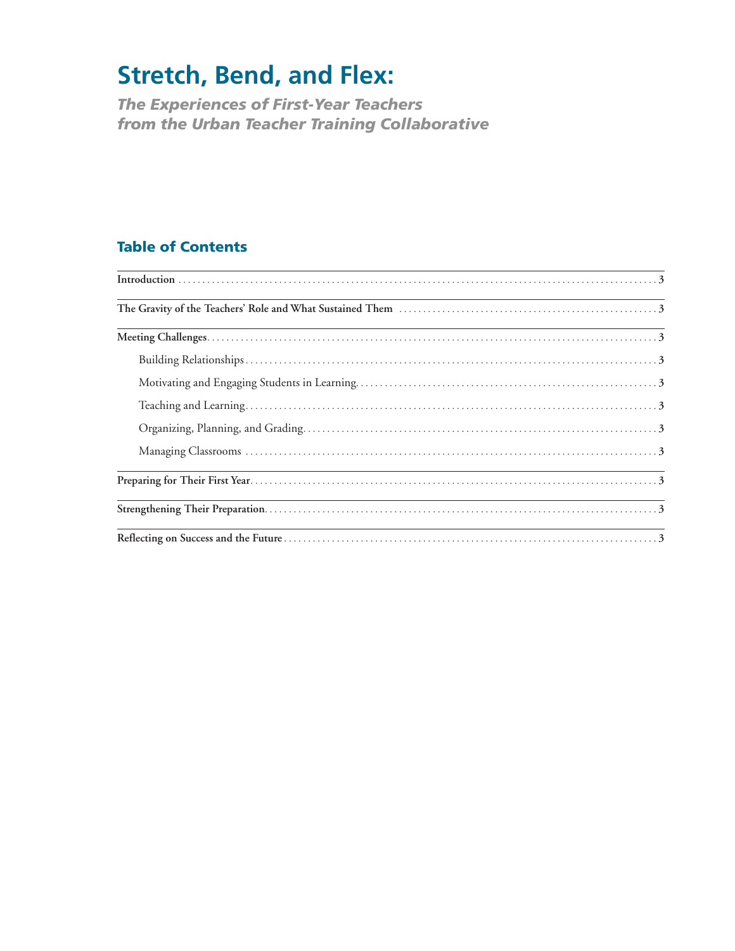# **Stretch, Bend, and Flex:**

*The Experiences of First-Year Teachers from the Urban Teacher Training Collaborative*

# **Table of Contents**

|                                                                                                                       | <u> 1989 - Johann Stoff, deutscher Stoffen und der Stoffen und der Stoffen und der Stoffen und der Stoffen und der</u> |
|-----------------------------------------------------------------------------------------------------------------------|------------------------------------------------------------------------------------------------------------------------|
| <u> 1989 - Johann Stoff, amerikansk politiker (* 1908)</u>                                                            |                                                                                                                        |
|                                                                                                                       |                                                                                                                        |
|                                                                                                                       |                                                                                                                        |
|                                                                                                                       |                                                                                                                        |
|                                                                                                                       |                                                                                                                        |
|                                                                                                                       |                                                                                                                        |
| <u> 1989 - Jan Samuel Barbara, margaret a shekara 1980 - Shekara ta 1980 - Shekara ta 1980 - Shekara ta 1980 - Sh</u> |                                                                                                                        |
|                                                                                                                       |                                                                                                                        |
|                                                                                                                       |                                                                                                                        |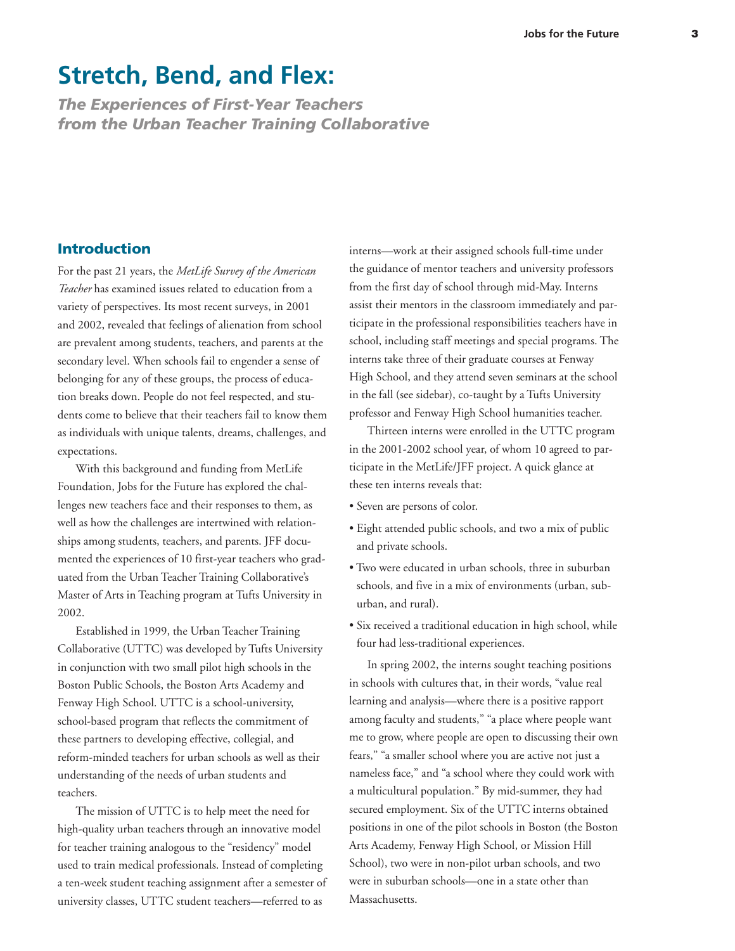# **Stretch, Bend, and Flex:**

*The Experiences of First-Year Teachers from the Urban Teacher Training Collaborative*

# **Introduction**

For the past 21 years, the *MetLife Survey of the American Teacher* has examined issues related to education from a variety of perspectives. Its most recent surveys, in 2001 and 2002, revealed that feelings of alienation from school are prevalent among students, teachers, and parents at the secondary level. When schools fail to engender a sense of belonging for any of these groups, the process of education breaks down. People do not feel respected, and students come to believe that their teachers fail to know them as individuals with unique talents, dreams, challenges, and expectations.

With this background and funding from MetLife Foundation, Jobs for the Future has explored the challenges new teachers face and their responses to them, as well as how the challenges are intertwined with relationships among students, teachers, and parents. JFF documented the experiences of 10 first-year teachers who graduated from the Urban Teacher Training Collaborative's Master of Arts in Teaching program at Tufts University in 2002.

Established in 1999, the Urban Teacher Training Collaborative (UTTC) was developed by Tufts University in conjunction with two small pilot high schools in the Boston Public Schools, the Boston Arts Academy and Fenway High School. UTTC is a school-university, school-based program that reflects the commitment of these partners to developing effective, collegial, and reform-minded teachers for urban schools as well as their understanding of the needs of urban students and teachers.

The mission of UTTC is to help meet the need for high-quality urban teachers through an innovative model for teacher training analogous to the "residency" model used to train medical professionals. Instead of completing a ten-week student teaching assignment after a semester of university classes, UTTC student teachers—referred to as

interns—work at their assigned schools full-time under the guidance of mentor teachers and university professors from the first day of school through mid-May. Interns assist their mentors in the classroom immediately and participate in the professional responsibilities teachers have in school, including staff meetings and special programs. The interns take three of their graduate courses at Fenway High School, and they attend seven seminars at the school in the fall (see sidebar), co-taught by a Tufts University professor and Fenway High School humanities teacher.

Thirteen interns were enrolled in the UTTC program in the 2001-2002 school year, of whom 10 agreed to participate in the MetLife/JFF project. A quick glance at these ten interns reveals that:

- Seven are persons of color.
- Eight attended public schools, and two a mix of public and private schools.
- Two were educated in urban schools, three in suburban schools, and five in a mix of environments (urban, suburban, and rural).
- Six received a traditional education in high school, while four had less-traditional experiences.

In spring 2002, the interns sought teaching positions in schools with cultures that, in their words, "value real learning and analysis—where there is a positive rapport among faculty and students," "a place where people want me to grow, where people are open to discussing their own fears," "a smaller school where you are active not just a nameless face," and "a school where they could work with a multicultural population." By mid-summer, they had secured employment. Six of the UTTC interns obtained positions in one of the pilot schools in Boston (the Boston Arts Academy, Fenway High School, or Mission Hill School), two were in non-pilot urban schools, and two were in suburban schools—one in a state other than Massachusetts.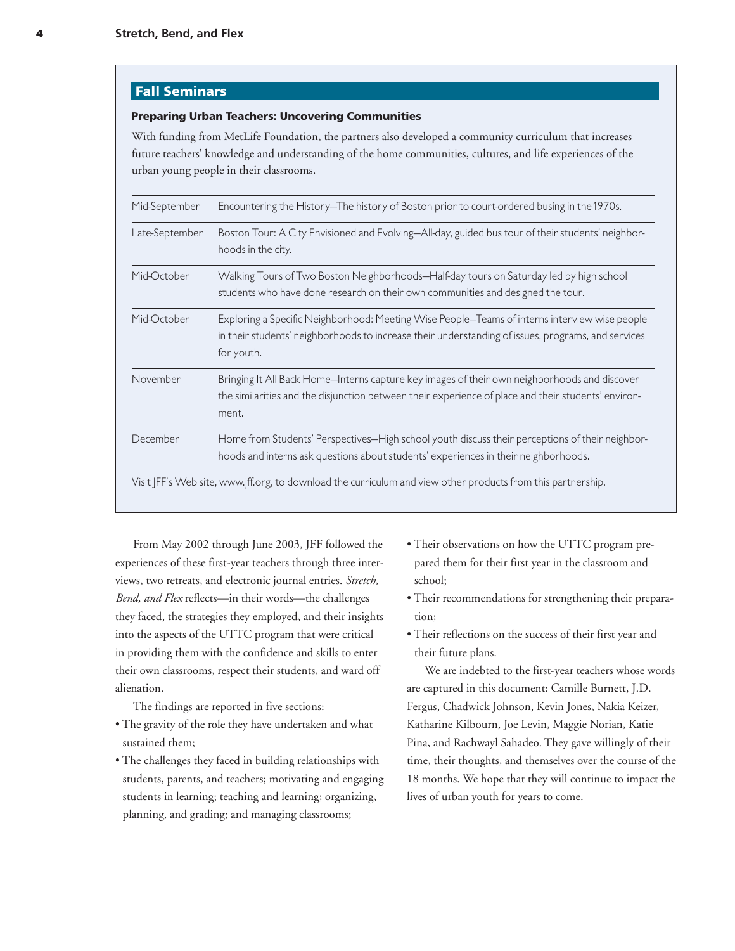# **Fall Seminars**

#### **Preparing Urban Teachers: Uncovering Communities**

With funding from MetLife Foundation, the partners also developed a community curriculum that increases future teachers' knowledge and understanding of the home communities, cultures, and life experiences of the urban young people in their classrooms.

| Mid-September  | Encountering the History-The history of Boston prior to court-ordered busing in the 1970s.                                                                                                                        |
|----------------|-------------------------------------------------------------------------------------------------------------------------------------------------------------------------------------------------------------------|
| Late-September | Boston Tour: A City Envisioned and Evolving-All-day, guided bus tour of their students' neighbor-<br>hoods in the city.                                                                                           |
| Mid-October    | Walking Tours of Two Boston Neighborhoods-Half-day tours on Saturday led by high school<br>students who have done research on their own communities and designed the tour.                                        |
| Mid-October    | Exploring a Specific Neighborhood: Meeting Wise People-Teams of interns interview wise people<br>in their students' neighborhoods to increase their understanding of issues, programs, and services<br>for youth. |
| November       | Bringing It All Back Home-Interns capture key images of their own neighborhoods and discover<br>the similarities and the disjunction between their experience of place and their students' environ-<br>ment.      |
| December       | Home from Students' Perspectives-High school youth discuss their perceptions of their neighbor-<br>hoods and interns ask questions about students' experiences in their neighborhoods.                            |
|                | Visit JFF's Web site, www.jff.org, to download the curriculum and view other products from this partnership.                                                                                                      |

From May 2002 through June 2003, JFF followed the experiences of these first-year teachers through three interviews, two retreats, and electronic journal entries. *Stretch, Bend, and Flex* reflects—in their words—the challenges they faced, the strategies they employed, and their insights into the aspects of the UTTC program that were critical in providing them with the confidence and skills to enter their own classrooms, respect their students, and ward off alienation.

The findings are reported in five sections:

- The gravity of the role they have undertaken and what sustained them;
- The challenges they faced in building relationships with students, parents, and teachers; motivating and engaging students in learning; teaching and learning; organizing, planning, and grading; and managing classrooms;
- Their observations on how the UTTC program prepared them for their first year in the classroom and school;
- Their recommendations for strengthening their preparation;
- Their reflections on the success of their first year and their future plans.

We are indebted to the first-year teachers whose words are captured in this document: Camille Burnett, J.D. Fergus, Chadwick Johnson, Kevin Jones, Nakia Keizer, Katharine Kilbourn, Joe Levin, Maggie Norian, Katie Pina, and Rachwayl Sahadeo. They gave willingly of their time, their thoughts, and themselves over the course of the 18 months. We hope that they will continue to impact the lives of urban youth for years to come.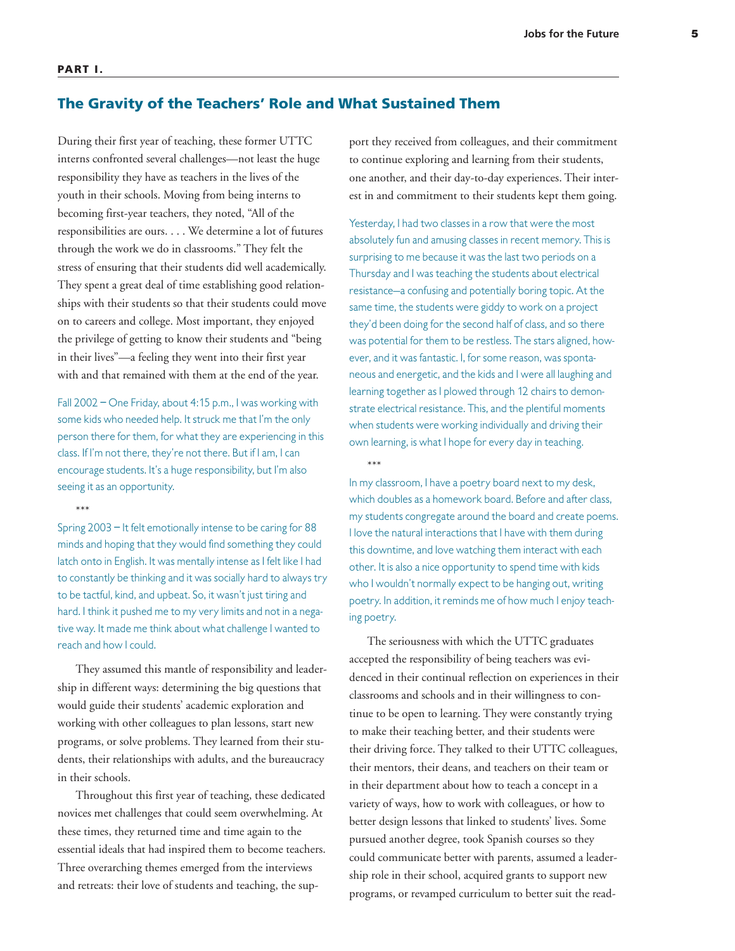#### **PART I.**

### **The Gravity of the Teachers' Role and What Sustained Them**

During their first year of teaching, these former UTTC interns confronted several challenges—not least the huge responsibility they have as teachers in the lives of the youth in their schools. Moving from being interns to becoming first-year teachers, they noted, "All of the responsibilities are ours. . . . We determine a lot of futures through the work we do in classrooms." They felt the stress of ensuring that their students did well academically. They spent a great deal of time establishing good relationships with their students so that their students could move on to careers and college. Most important, they enjoyed the privilege of getting to know their students and "being in their lives"—a feeling they went into their first year with and that remained with them at the end of the year.

Fall 2002 – One Friday, about 4:15 p.m., I was working with some kids who needed help. It struck me that I'm the only person there for them, for what they are experiencing in this class. If I'm not there, they're not there. But if I am, I can encourage students. It's a huge responsibility, but I'm also seeing it as an opportunity.

\*\*\*

Spring 2003 – It felt emotionally intense to be caring for 88 minds and hoping that they would find something they could latch onto in English. It was mentally intense as I felt like I had to constantly be thinking and it was socially hard to always try to be tactful, kind, and upbeat. So, it wasn't just tiring and hard. I think it pushed me to my very limits and not in a negative way. It made me think about what challenge I wanted to reach and how I could.

They assumed this mantle of responsibility and leadership in different ways: determining the big questions that would guide their students' academic exploration and working with other colleagues to plan lessons, start new programs, or solve problems. They learned from their students, their relationships with adults, and the bureaucracy in their schools.

Throughout this first year of teaching, these dedicated novices met challenges that could seem overwhelming. At these times, they returned time and time again to the essential ideals that had inspired them to become teachers. Three overarching themes emerged from the interviews and retreats: their love of students and teaching, the support they received from colleagues, and their commitment to continue exploring and learning from their students, one another, and their day-to-day experiences. Their interest in and commitment to their students kept them going.

Yesterday, I had two classes in a row that were the most absolutely fun and amusing classes in recent memory. This is surprising to me because it was the last two periods on a Thursday and I was teaching the students about electrical resistance—a confusing and potentially boring topic. At the same time, the students were giddy to work on a project they'd been doing for the second half of class, and so there was potential for them to be restless. The stars aligned, however, and it was fantastic. I, for some reason, was spontaneous and energetic, and the kids and I were all laughing and learning together as I plowed through 12 chairs to demonstrate electrical resistance. This, and the plentiful moments when students were working individually and driving their own learning, is what I hope for every day in teaching.

\*\*\*

In my classroom, I have a poetry board next to my desk, which doubles as a homework board. Before and after class, my students congregate around the board and create poems. I love the natural interactions that I have with them during this downtime, and love watching them interact with each other. It is also a nice opportunity to spend time with kids who I wouldn't normally expect to be hanging out, writing poetry. In addition, it reminds me of how much I enjoy teaching poetry.

The seriousness with which the UTTC graduates accepted the responsibility of being teachers was evidenced in their continual reflection on experiences in their classrooms and schools and in their willingness to continue to be open to learning. They were constantly trying to make their teaching better, and their students were their driving force. They talked to their UTTC colleagues, their mentors, their deans, and teachers on their team or in their department about how to teach a concept in a variety of ways, how to work with colleagues, or how to better design lessons that linked to students' lives. Some pursued another degree, took Spanish courses so they could communicate better with parents, assumed a leadership role in their school, acquired grants to support new programs, or revamped curriculum to better suit the read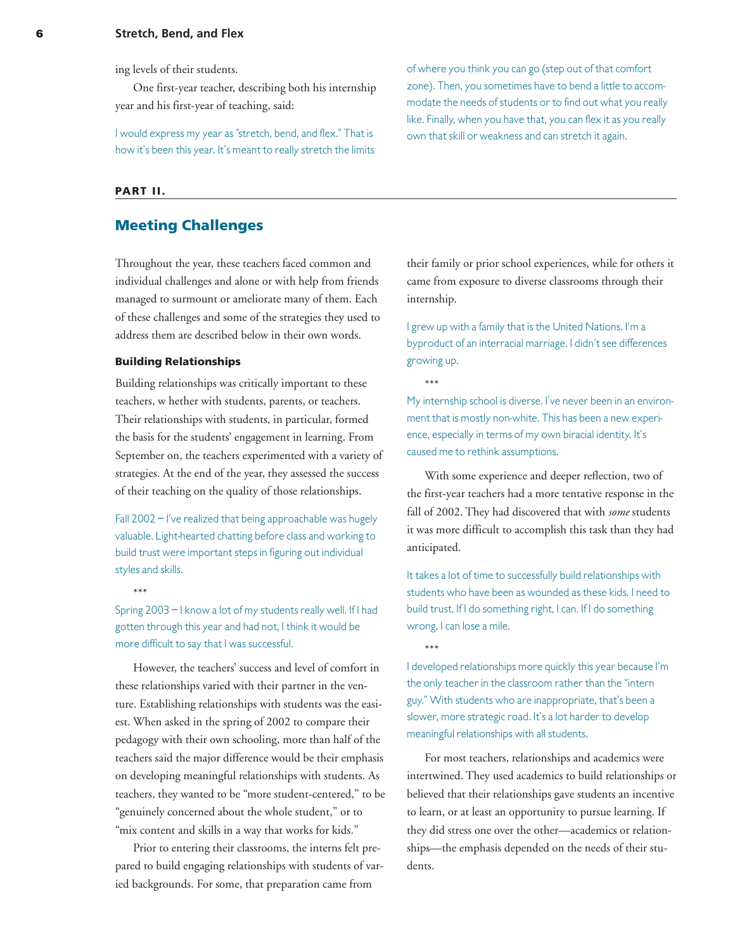ing levels of their students.

One first-year teacher, describing both his internship year and his first-year of teaching, said:

I would express my year as "stretch, bend, and flex." That is how it's been this year. It's meant to really stretch the limits

#### **PART II.**

# **Meeting Challenges**

Throughout the year, these teachers faced common and individual challenges and alone or with help from friends managed to surmount or ameliorate many of them. Each of these challenges and some of the strategies they used to address them are described below in their own words.

#### **Building Relationships**

Building relationships was critically important to these teachers, w hether with students, parents, or teachers. Their relationships with students, in particular, formed the basis for the students' engagement in learning. From September on, the teachers experimented with a variety of strategies. At the end of the year, they assessed the success of their teaching on the quality of those relationships.

Fall 2002 – I've realized that being approachable was hugely valuable. Light-hearted chatting before class and working to build trust were important steps in figuring out individual styles and skills.

\*\*\*

Spring 2003 – I know a lot of my students really well. If I had gotten through this year and had not, I think it would be more difficult to say that I was successful.

However, the teachers' success and level of comfort in these relationships varied with their partner in the venture. Establishing relationships with students was the easiest. When asked in the spring of 2002 to compare their pedagogy with their own schooling, more than half of the teachers said the major difference would be their emphasis on developing meaningful relationships with students. As teachers, they wanted to be "more student-centered," to be "genuinely concerned about the whole student," or to "mix content and skills in a way that works for kids."

Prior to entering their classrooms, the interns felt prepared to build engaging relationships with students of varied backgrounds. For some, that preparation came from

of where you think you can go (step out of that comfort zone). Then, you sometimes have to bend a little to accommodate the needs of students or to find out what you really like. Finally, when you have that, you can flex it as you really own that skill or weakness and can stretch it again.

their family or prior school experiences, while for others it came from exposure to diverse classrooms through their internship.

I grew up with a family that is the United Nations. I'm a byproduct of an interracial marriage. I didn't see differences growing up.

\*\*\*

\*\*\*

My internship school is diverse. I've never been in an environment that is mostly non-white. This has been a new experience, especially in terms of my own biracial identity. It's caused me to rethink assumptions.

With some experience and deeper reflection, two of the first-year teachers had a more tentative response in the fall of 2002. They had discovered that with *some* students it was more difficult to accomplish this task than they had anticipated.

It takes a lot of time to successfully build relationships with students who have been as wounded as these kids. I need to build trust. If I do something right, I can. If I do something wrong, I can lose a mile.

I developed relationships more quickly this year because I'm the only teacher in the classroom rather than the "intern guy." With students who are inappropriate, that's been a slower, more strategic road. It's a lot harder to develop meaningful relationships with all students.

For most teachers, relationships and academics were intertwined. They used academics to build relationships or believed that their relationships gave students an incentive to learn, or at least an opportunity to pursue learning. If they did stress one over the other—academics or relationships—the emphasis depended on the needs of their students.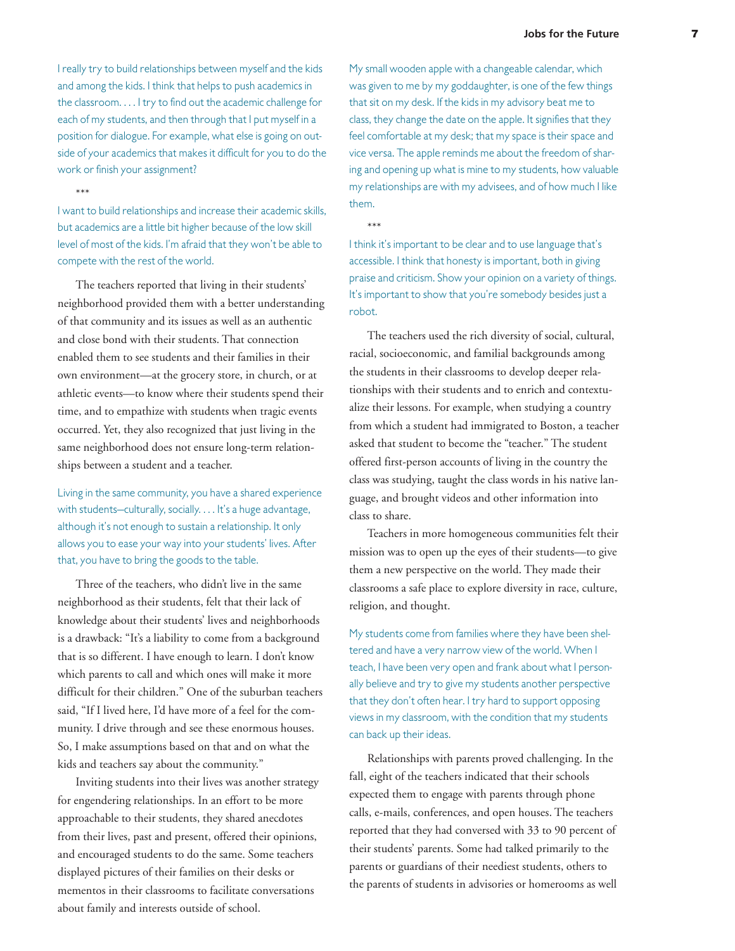I really try to build relationships between myself and the kids and among the kids. I think that helps to push academics in the classroom. . . . I try to find out the academic challenge for each of my students, and then through that I put myself in a position for dialogue. For example, what else is going on outside of your academics that makes it difficult for you to do the work or finish your assignment?

\*\*\*

I want to build relationships and increase their academic skills, but academics are a little bit higher because of the low skill level of most of the kids. I'm afraid that they won't be able to compete with the rest of the world.

The teachers reported that living in their students' neighborhood provided them with a better understanding of that community and its issues as well as an authentic and close bond with their students. That connection enabled them to see students and their families in their own environment—at the grocery store, in church, or at athletic events—to know where their students spend their time, and to empathize with students when tragic events occurred. Yet, they also recognized that just living in the same neighborhood does not ensure long-term relationships between a student and a teacher.

Living in the same community, you have a shared experience with students—culturally, socially. . . . It's a huge advantage, although it's not enough to sustain a relationship. It only allows you to ease your way into your students' lives. After that, you have to bring the goods to the table.

Three of the teachers, who didn't live in the same neighborhood as their students, felt that their lack of knowledge about their students' lives and neighborhoods is a drawback: "It's a liability to come from a background that is so different. I have enough to learn. I don't know which parents to call and which ones will make it more difficult for their children." One of the suburban teachers said, "If I lived here, I'd have more of a feel for the community. I drive through and see these enormous houses. So, I make assumptions based on that and on what the kids and teachers say about the community."

Inviting students into their lives was another strategy for engendering relationships. In an effort to be more approachable to their students, they shared anecdotes from their lives, past and present, offered their opinions, and encouraged students to do the same. Some teachers displayed pictures of their families on their desks or mementos in their classrooms to facilitate conversations about family and interests outside of school.

My small wooden apple with a changeable calendar, which was given to me by my goddaughter, is one of the few things that sit on my desk. If the kids in my advisory beat me to class, they change the date on the apple. It signifies that they feel comfortable at my desk; that my space is their space and vice versa. The apple reminds me about the freedom of sharing and opening up what is mine to my students, how valuable my relationships are with my advisees, and of how much I like them.

\*\*\*

I think it's important to be clear and to use language that's accessible. I think that honesty is important, both in giving praise and criticism. Show your opinion on a variety of things. It's important to show that you're somebody besides just a robot.

The teachers used the rich diversity of social, cultural, racial, socioeconomic, and familial backgrounds among the students in their classrooms to develop deeper relationships with their students and to enrich and contextualize their lessons. For example, when studying a country from which a student had immigrated to Boston, a teacher asked that student to become the "teacher." The student offered first-person accounts of living in the country the class was studying, taught the class words in his native language, and brought videos and other information into class to share.

Teachers in more homogeneous communities felt their mission was to open up the eyes of their students—to give them a new perspective on the world. They made their classrooms a safe place to explore diversity in race, culture, religion, and thought.

My students come from families where they have been sheltered and have a very narrow view of the world. When I teach, I have been very open and frank about what I personally believe and try to give my students another perspective that they don't often hear. I try hard to support opposing views in my classroom, with the condition that my students can back up their ideas.

Relationships with parents proved challenging. In the fall, eight of the teachers indicated that their schools expected them to engage with parents through phone calls, e-mails, conferences, and open houses. The teachers reported that they had conversed with 33 to 90 percent of their students' parents. Some had talked primarily to the parents or guardians of their neediest students, others to the parents of students in advisories or homerooms as well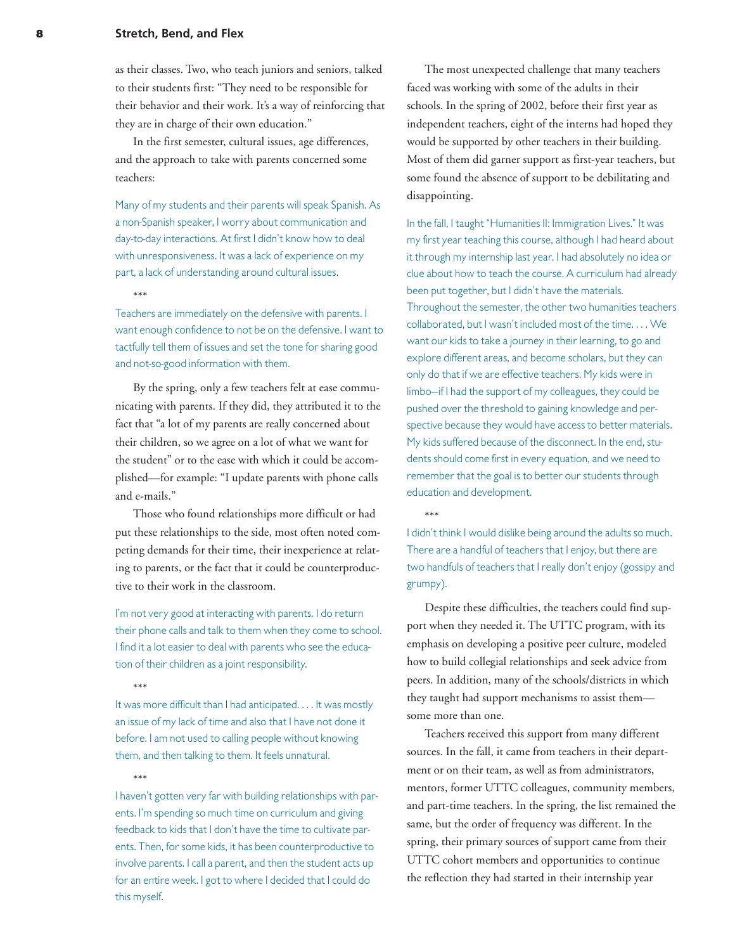#### **8 Stretch, Bend, and Flex**

as their classes. Two, who teach juniors and seniors, talked to their students first: "They need to be responsible for their behavior and their work. It's a way of reinforcing that they are in charge of their own education."

In the first semester, cultural issues, age differences, and the approach to take with parents concerned some teachers:

Many of my students and their parents will speak Spanish. As a non-Spanish speaker, I worry about communication and day-to-day interactions. At first I didn't know how to deal with unresponsiveness. It was a lack of experience on my part, a lack of understanding around cultural issues.

\*\*\*

Teachers are immediately on the defensive with parents. I want enough confidence to not be on the defensive. I want to tactfully tell them of issues and set the tone for sharing good and not-so-good information with them.

By the spring, only a few teachers felt at ease communicating with parents. If they did, they attributed it to the fact that "a lot of my parents are really concerned about their children, so we agree on a lot of what we want for the student" or to the ease with which it could be accomplished—for example: "I update parents with phone calls and e-mails."

Those who found relationships more difficult or had put these relationships to the side, most often noted competing demands for their time, their inexperience at relating to parents, or the fact that it could be counterproductive to their work in the classroom.

I'm not very good at interacting with parents. I do return their phone calls and talk to them when they come to school. I find it a lot easier to deal with parents who see the education of their children as a joint responsibility.

\*\*\*

It was more difficult than I had anticipated. . . . It was mostly an issue of my lack of time and also that I have not done it before. I am not used to calling people without knowing them, and then talking to them. It feels unnatural.

### \*\*\*

I haven't gotten very far with building relationships with parents. I'm spending so much time on curriculum and giving feedback to kids that I don't have the time to cultivate parents. Then, for some kids, it has been counterproductive to involve parents. I call a parent, and then the student acts up for an entire week. I got to where I decided that I could do this myself.

The most unexpected challenge that many teachers faced was working with some of the adults in their schools. In the spring of 2002, before their first year as independent teachers, eight of the interns had hoped they would be supported by other teachers in their building. Most of them did garner support as first-year teachers, but some found the absence of support to be debilitating and disappointing.

In the fall, I taught "Humanities II: Immigration Lives." It was my first year teaching this course, although I had heard about it through my internship last year. I had absolutely no idea or clue about how to teach the course. A curriculum had already been put together, but I didn't have the materials. Throughout the semester, the other two humanities teachers collaborated, but I wasn't included most of the time. . . . We want our kids to take a journey in their learning, to go and explore different areas, and become scholars, but they can only do that if we are effective teachers. My kids were in limbo—if I had the support of my colleagues, they could be pushed over the threshold to gaining knowledge and perspective because they would have access to better materials. My kids suffered because of the disconnect. In the end, students should come first in every equation, and we need to remember that the goal is to better our students through education and development.

I didn't think I would dislike being around the adults so much. There are a handful of teachers that I enjoy, but there are two handfuls of teachers that I really don't enjoy (gossipy and grumpy).

\*\*\*

Despite these difficulties, the teachers could find support when they needed it. The UTTC program, with its emphasis on developing a positive peer culture, modeled how to build collegial relationships and seek advice from peers. In addition, many of the schools/districts in which they taught had support mechanisms to assist them some more than one.

Teachers received this support from many different sources. In the fall, it came from teachers in their department or on their team, as well as from administrators, mentors, former UTTC colleagues, community members, and part-time teachers. In the spring, the list remained the same, but the order of frequency was different. In the spring, their primary sources of support came from their UTTC cohort members and opportunities to continue the reflection they had started in their internship year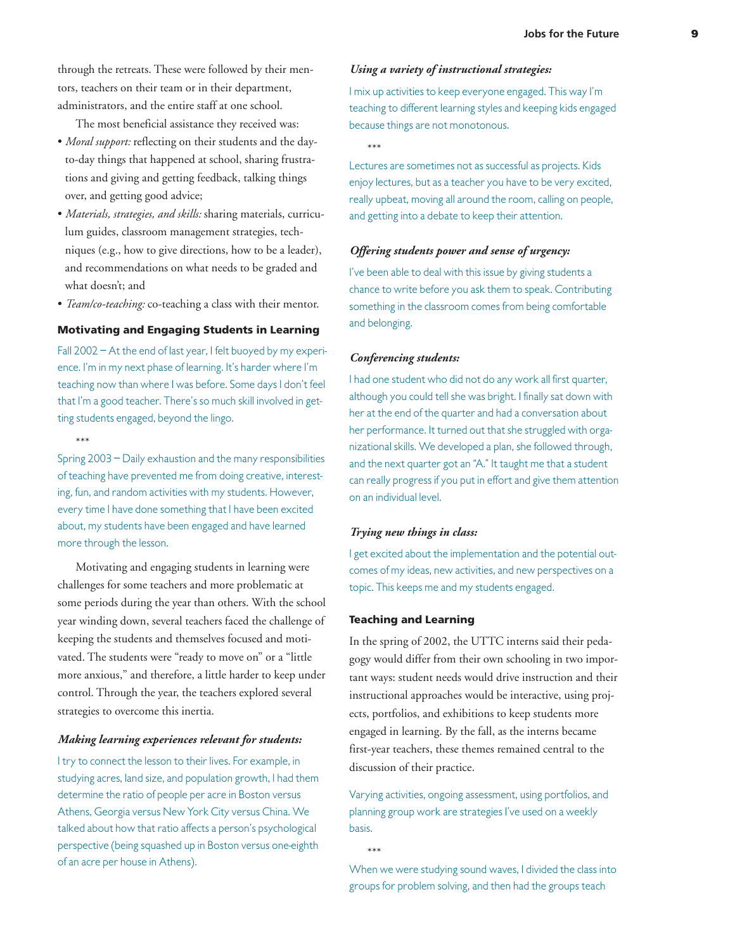through the retreats. These were followed by their mentors, teachers on their team or in their department, administrators, and the entire staff at one school.

The most beneficial assistance they received was:

- *Moral support:* reflecting on their students and the dayto-day things that happened at school, sharing frustrations and giving and getting feedback, talking things over, and getting good advice;
- *Materials, strategies, and skills:* sharing materials, curriculum guides, classroom management strategies, techniques (e.g., how to give directions, how to be a leader), and recommendations on what needs to be graded and what doesn't; and
- *Team/co-teaching:* co-teaching a class with their mentor.

#### **Motivating and Engaging Students in Learning**

Fall 2002 – At the end of last year, I felt buoyed by my experience. I'm in my next phase of learning. It's harder where I'm teaching now than where I was before. Some days I don't feel that I'm a good teacher. There's so much skill involved in getting students engaged, beyond the lingo.

\*\*\*

Spring 2003 – Daily exhaustion and the many responsibilities of teaching have prevented me from doing creative, interesting, fun, and random activities with my students. However, every time I have done something that I have been excited about, my students have been engaged and have learned more through the lesson.

Motivating and engaging students in learning were challenges for some teachers and more problematic at some periods during the year than others. With the school year winding down, several teachers faced the challenge of keeping the students and themselves focused and motivated. The students were "ready to move on" or a "little more anxious," and therefore, a little harder to keep under control. Through the year, the teachers explored several strategies to overcome this inertia.

#### *Making learning experiences relevant for students:*

I try to connect the lesson to their lives. For example, in studying acres, land size, and population growth, I had them determine the ratio of people per acre in Boston versus Athens, Georgia versus New York City versus China. We talked about how that ratio affects a person's psychological perspective (being squashed up in Boston versus one-eighth of an acre per house in Athens).

#### *Using a variety of instructional strategies:*

I mix up activities to keep everyone engaged. This way I'm teaching to different learning styles and keeping kids engaged because things are not monotonous.

\*\*\*

Lectures are sometimes not as successful as projects. Kids enjoy lectures, but as a teacher you have to be very excited, really upbeat, moving all around the room, calling on people, and getting into a debate to keep their attention.

#### *Offering students power and sense of urgency:*

I've been able to deal with this issue by giving students a chance to write before you ask them to speak. Contributing something in the classroom comes from being comfortable and belonging.

#### *Conferencing students:*

I had one student who did not do any work all first quarter, although you could tell she was bright. I finally sat down with her at the end of the quarter and had a conversation about her performance. It turned out that she struggled with organizational skills. We developed a plan, she followed through, and the next quarter got an "A." It taught me that a student can really progress if you put in effort and give them attention on an individual level.

#### *Trying new things in class:*

I get excited about the implementation and the potential outcomes of my ideas, new activities, and new perspectives on a topic. This keeps me and my students engaged.

#### **Teaching and Learning**

In the spring of 2002, the UTTC interns said their pedagogy would differ from their own schooling in two important ways: student needs would drive instruction and their instructional approaches would be interactive, using projects, portfolios, and exhibitions to keep students more engaged in learning. By the fall, as the interns became first-year teachers, these themes remained central to the discussion of their practice.

Varying activities, ongoing assessment, using portfolios, and planning group work are strategies I've used on a weekly basis.

\*\*\*

When we were studying sound waves, I divided the class into groups for problem solving, and then had the groups teach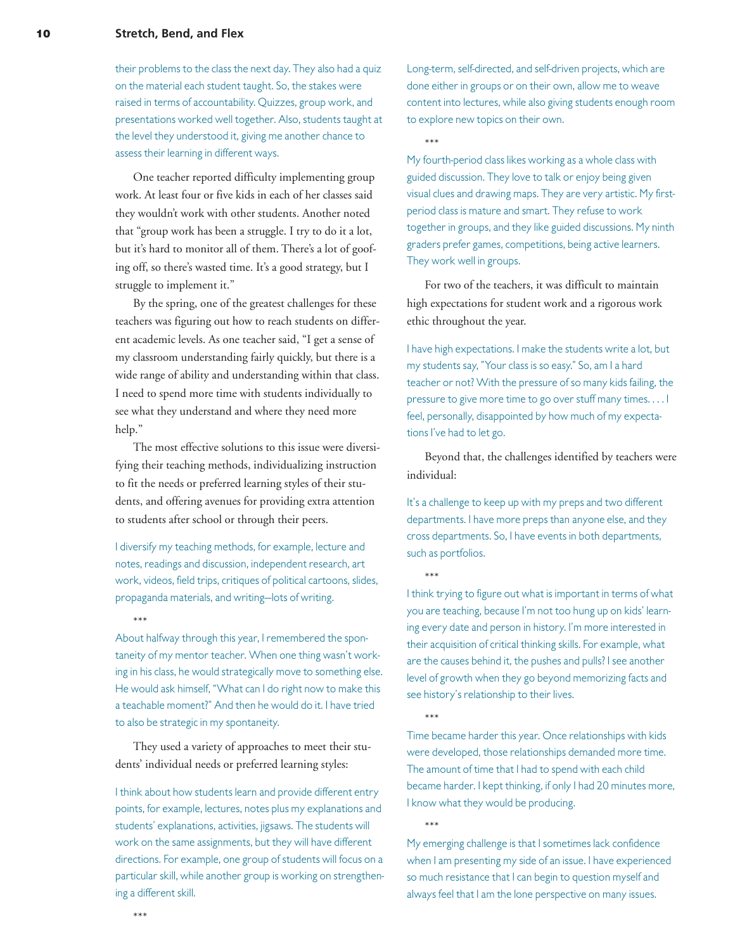#### **10 Stretch, Bend, and Flex**

their problems to the class the next day. They also had a quiz on the material each student taught. So, the stakes were raised in terms of accountability. Quizzes, group work, and presentations worked well together. Also, students taught at the level they understood it, giving me another chance to assess their learning in different ways.

One teacher reported difficulty implementing group work. At least four or five kids in each of her classes said they wouldn't work with other students. Another noted that "group work has been a struggle. I try to do it a lot, but it's hard to monitor all of them. There's a lot of goofing off, so there's wasted time. It's a good strategy, but I struggle to implement it."

By the spring, one of the greatest challenges for these teachers was figuring out how to reach students on different academic levels. As one teacher said, "I get a sense of my classroom understanding fairly quickly, but there is a wide range of ability and understanding within that class. I need to spend more time with students individually to see what they understand and where they need more help."

The most effective solutions to this issue were diversifying their teaching methods, individualizing instruction to fit the needs or preferred learning styles of their students, and offering avenues for providing extra attention to students after school or through their peers.

I diversify my teaching methods, for example, lecture and notes, readings and discussion, independent research, art work, videos, field trips, critiques of political cartoons, slides, propaganda materials, and writing—lots of writing.

\*\*\*

About halfway through this year, I remembered the spontaneity of my mentor teacher. When one thing wasn't working in his class, he would strategically move to something else. He would ask himself, "What can I do right now to make this a teachable moment?" And then he would do it. I have tried to also be strategic in my spontaneity.

They used a variety of approaches to meet their students' individual needs or preferred learning styles:

I think about how students learn and provide different entry points, for example, lectures, notes plus my explanations and students' explanations, activities, jigsaws. The students will work on the same assignments, but they will have different directions. For example, one group of students will focus on a particular skill, while another group is working on strengthening a different skill.

Long-term, self-directed, and self-driven projects, which are done either in groups or on their own, allow me to weave content into lectures, while also giving students enough room to explore new topics on their own.

\*\*\*

My fourth-period class likes working as a whole class with guided discussion. They love to talk or enjoy being given visual clues and drawing maps. They are very artistic. My firstperiod class is mature and smart. They refuse to work together in groups, and they like guided discussions. My ninth graders prefer games, competitions, being active learners. They work well in groups.

For two of the teachers, it was difficult to maintain high expectations for student work and a rigorous work ethic throughout the year.

I have high expectations. I make the students write a lot, but my students say, "Your class is so easy." So, am I a hard teacher or not? With the pressure of so many kids failing, the pressure to give more time to go over stuff many times. . . . I feel, personally, disappointed by how much of my expectations I've had to let go.

Beyond that, the challenges identified by teachers were individual:

It's a challenge to keep up with my preps and two different departments. I have more preps than anyone else, and they cross departments. So, I have events in both departments, such as portfolios.

\*\*\*

I think trying to figure out what is important in terms of what you are teaching, because I'm not too hung up on kids' learning every date and person in history. I'm more interested in their acquisition of critical thinking skills. For example, what are the causes behind it, the pushes and pulls? I see another level of growth when they go beyond memorizing facts and see history's relationship to their lives.

\*\*\*

Time became harder this year. Once relationships with kids were developed, those relationships demanded more time. The amount of time that I had to spend with each child became harder. I kept thinking, if only I had 20 minutes more, I know what they would be producing.

\*\*\*

My emerging challenge is that I sometimes lack confidence when I am presenting my side of an issue. I have experienced so much resistance that I can begin to question myself and always feel that I am the lone perspective on many issues.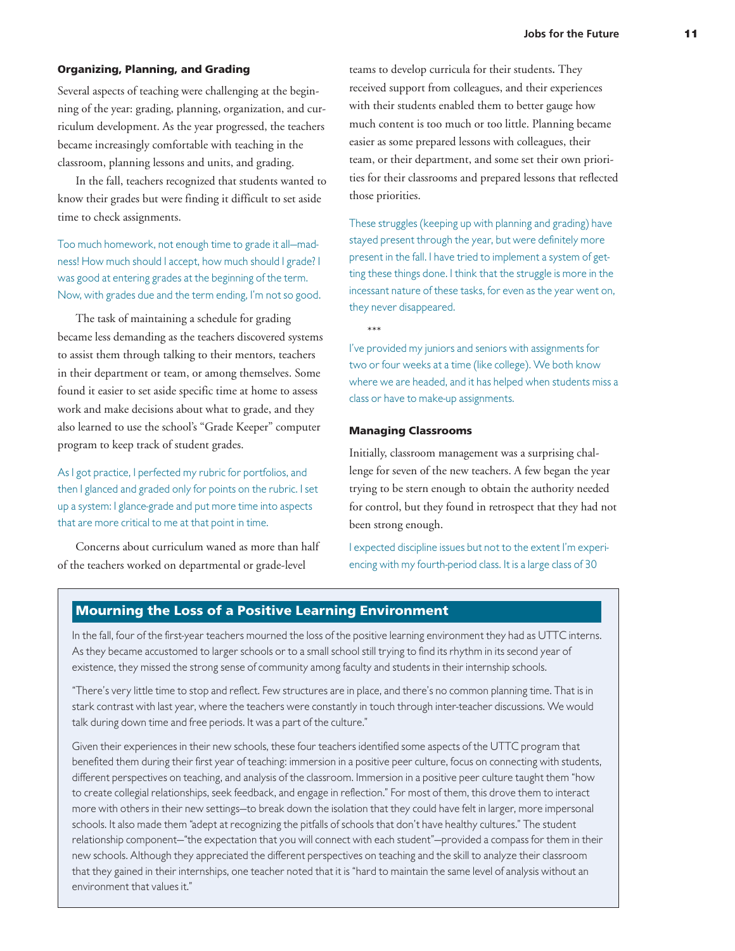#### **Organizing, Planning, and Grading**

Several aspects of teaching were challenging at the beginning of the year: grading, planning, organization, and curriculum development. As the year progressed, the teachers became increasingly comfortable with teaching in the classroom, planning lessons and units, and grading.

In the fall, teachers recognized that students wanted to know their grades but were finding it difficult to set aside time to check assignments.

Too much homework, not enough time to grade it all—madness! How much should I accept, how much should I grade? I was good at entering grades at the beginning of the term. Now, with grades due and the term ending, I'm not so good.

The task of maintaining a schedule for grading became less demanding as the teachers discovered systems to assist them through talking to their mentors, teachers in their department or team, or among themselves. Some found it easier to set aside specific time at home to assess work and make decisions about what to grade, and they also learned to use the school's "Grade Keeper" computer program to keep track of student grades.

As I got practice, I perfected my rubric for portfolios, and then I glanced and graded only for points on the rubric. I set up a system: I glance-grade and put more time into aspects that are more critical to me at that point in time.

Concerns about curriculum waned as more than half of the teachers worked on departmental or grade-level

teams to develop curricula for their students**.** They received support from colleagues, and their experiences with their students enabled them to better gauge how much content is too much or too little. Planning became easier as some prepared lessons with colleagues, their team, or their department, and some set their own priorities for their classrooms and prepared lessons that reflected those priorities.

These struggles (keeping up with planning and grading) have stayed present through the year, but were definitely more present in the fall. I have tried to implement a system of getting these things done. I think that the struggle is more in the incessant nature of these tasks, for even as the year went on, they never disappeared.

\*\*\*

I've provided my juniors and seniors with assignments for two or four weeks at a time (like college). We both know where we are headed, and it has helped when students miss a class or have to make-up assignments.

#### **Managing Classrooms**

Initially, classroom management was a surprising challenge for seven of the new teachers. A few began the year trying to be stern enough to obtain the authority needed for control, but they found in retrospect that they had not been strong enough.

I expected discipline issues but not to the extent I'm experiencing with my fourth-period class. It is a large class of 30

#### **Mourning the Loss of a Positive Learning Environment**

In the fall, four of the first-year teachers mourned the loss of the positive learning environment they had as UTTC interns. As they became accustomed to larger schools or to a small school still trying to find its rhythm in its second year of existence, they missed the strong sense of community among faculty and students in their internship schools.

"There's very little time to stop and reflect. Few structures are in place, and there's no common planning time. That is in stark contrast with last year, where the teachers were constantly in touch through inter-teacher discussions. We would talk during down time and free periods. It was a part of the culture."

Given their experiences in their new schools, these four teachers identified some aspects of the UTTC program that benefited them during their first year of teaching: immersion in a positive peer culture, focus on connecting with students, different perspectives on teaching, and analysis of the classroom. Immersion in a positive peer culture taught them "how to create collegial relationships, seek feedback, and engage in reflection." For most of them, this drove them to interact more with others in their new settings—to break down the isolation that they could have felt in larger, more impersonal schools. It also made them "adept at recognizing the pitfalls of schools that don't have healthy cultures." The student relationship component—"the expectation that you will connect with each student"—provided a compass for them in their new schools. Although they appreciated the different perspectives on teaching and the skill to analyze their classroom that they gained in their internships, one teacher noted that it is "hard to maintain the same level of analysis without an environment that values it."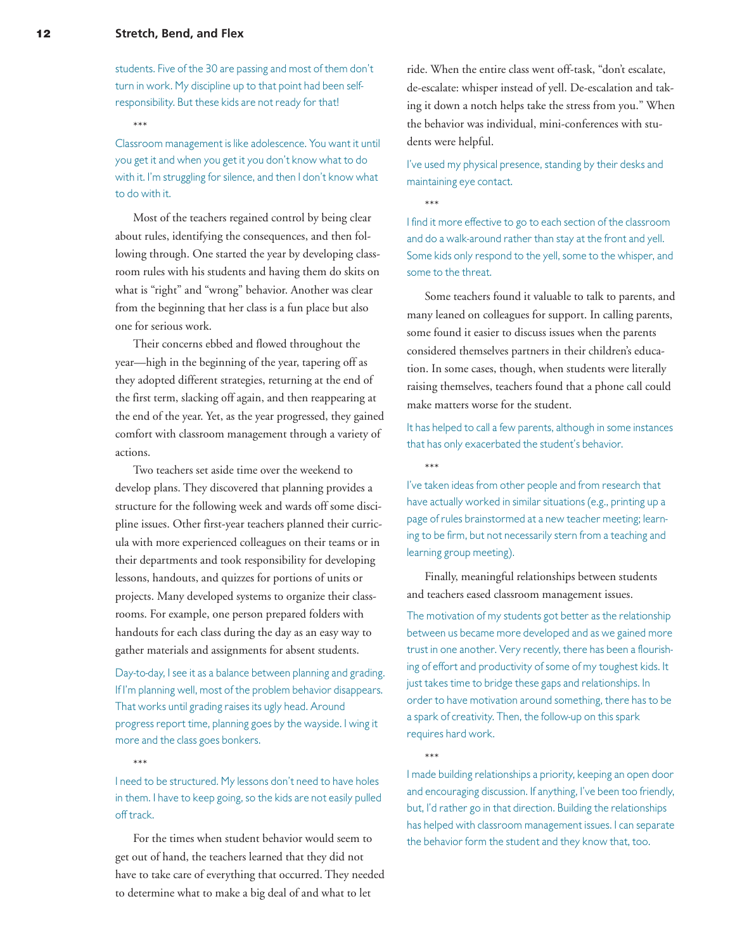students. Five of the 30 are passing and most of them don't turn in work. My discipline up to that point had been selfresponsibility. But these kids are not ready for that!

\*\*\*

Classroom management is like adolescence. You want it until you get it and when you get it you don't know what to do with it. I'm struggling for silence, and then I don't know what to do with it.

Most of the teachers regained control by being clear about rules, identifying the consequences, and then following through. One started the year by developing classroom rules with his students and having them do skits on what is "right" and "wrong" behavior. Another was clear from the beginning that her class is a fun place but also one for serious work.

Their concerns ebbed and flowed throughout the year—high in the beginning of the year, tapering off as they adopted different strategies, returning at the end of the first term, slacking off again, and then reappearing at the end of the year. Yet, as the year progressed, they gained comfort with classroom management through a variety of actions.

Two teachers set aside time over the weekend to develop plans. They discovered that planning provides a structure for the following week and wards off some discipline issues. Other first-year teachers planned their curricula with more experienced colleagues on their teams or in their departments and took responsibility for developing lessons, handouts, and quizzes for portions of units or projects. Many developed systems to organize their classrooms. For example, one person prepared folders with handouts for each class during the day as an easy way to gather materials and assignments for absent students.

Day-to-day, I see it as a balance between planning and grading. If I'm planning well, most of the problem behavior disappears. That works until grading raises its ugly head. Around progress report time, planning goes by the wayside. I wing it more and the class goes bonkers.

\*\*\*

I need to be structured. My lessons don't need to have holes in them. I have to keep going, so the kids are not easily pulled off track.

For the times when student behavior would seem to get out of hand, the teachers learned that they did not have to take care of everything that occurred. They needed to determine what to make a big deal of and what to let

ride. When the entire class went off-task, "don't escalate, de-escalate: whisper instead of yell. De-escalation and taking it down a notch helps take the stress from you." When the behavior was individual, mini-conferences with students were helpful.

I've used my physical presence, standing by their desks and maintaining eye contact.

\*\*\*

I find it more effective to go to each section of the classroom and do a walk-around rather than stay at the front and yell. Some kids only respond to the yell, some to the whisper, and some to the threat.

Some teachers found it valuable to talk to parents, and many leaned on colleagues for support. In calling parents, some found it easier to discuss issues when the parents considered themselves partners in their children's education. In some cases, though, when students were literally raising themselves, teachers found that a phone call could make matters worse for the student.

It has helped to call a few parents, although in some instances that has only exacerbated the student's behavior.

\*\*\*

I've taken ideas from other people and from research that have actually worked in similar situations (e.g., printing up a page of rules brainstormed at a new teacher meeting; learning to be firm, but not necessarily stern from a teaching and learning group meeting).

Finally, meaningful relationships between students and teachers eased classroom management issues.

The motivation of my students got better as the relationship between us became more developed and as we gained more trust in one another. Very recently, there has been a flourishing of effort and productivity of some of my toughest kids. It just takes time to bridge these gaps and relationships. In order to have motivation around something, there has to be a spark of creativity. Then, the follow-up on this spark requires hard work.

\*\*\*

I made building relationships a priority, keeping an open door and encouraging discussion. If anything, I've been too friendly, but, I'd rather go in that direction. Building the relationships has helped with classroom management issues. I can separate the behavior form the student and they know that, too.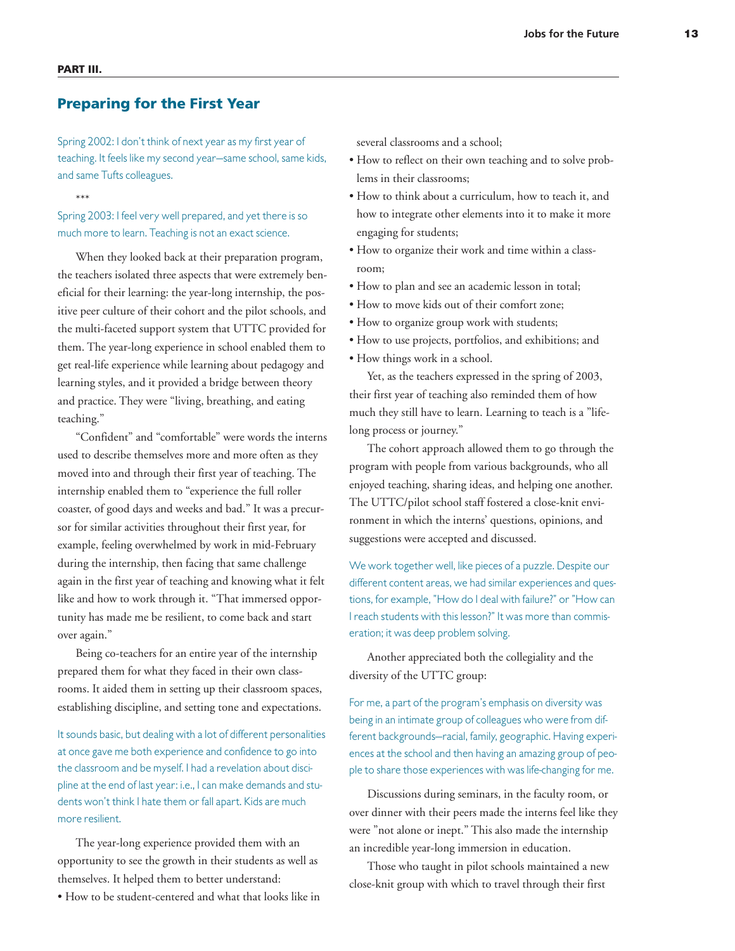\*\*\*

# **Preparing for the First Year**

Spring 2002: I don't think of next year as my first year of teaching. It feels like my second year—same school, same kids, and same Tufts colleagues.

Spring 2003: I feel very well prepared, and yet there is so much more to learn. Teaching is not an exact science.

When they looked back at their preparation program, the teachers isolated three aspects that were extremely beneficial for their learning: the year-long internship, the positive peer culture of their cohort and the pilot schools, and the multi-faceted support system that UTTC provided for them. The year-long experience in school enabled them to get real-life experience while learning about pedagogy and learning styles, and it provided a bridge between theory and practice. They were "living, breathing, and eating teaching."

"Confident" and "comfortable" were words the interns used to describe themselves more and more often as they moved into and through their first year of teaching. The internship enabled them to "experience the full roller coaster, of good days and weeks and bad." It was a precursor for similar activities throughout their first year, for example, feeling overwhelmed by work in mid-February during the internship, then facing that same challenge again in the first year of teaching and knowing what it felt like and how to work through it. "That immersed opportunity has made me be resilient, to come back and start over again."

Being co-teachers for an entire year of the internship prepared them for what they faced in their own classrooms. It aided them in setting up their classroom spaces, establishing discipline, and setting tone and expectations.

It sounds basic, but dealing with a lot of different personalities at once gave me both experience and confidence to go into the classroom and be myself. I had a revelation about discipline at the end of last year: i.e., I can make demands and students won't think I hate them or fall apart. Kids are much more resilient.

The year-long experience provided them with an opportunity to see the growth in their students as well as themselves. It helped them to better understand:

• How to be student-centered and what that looks like in

several classrooms and a school;

- How to reflect on their own teaching and to solve problems in their classrooms;
- How to think about a curriculum, how to teach it, and how to integrate other elements into it to make it more engaging for students;
- How to organize their work and time within a classroom;
- How to plan and see an academic lesson in total;
- How to move kids out of their comfort zone;
- How to organize group work with students;
- How to use projects, portfolios, and exhibitions; and
- How things work in a school.

Yet, as the teachers expressed in the spring of 2003, their first year of teaching also reminded them of how much they still have to learn. Learning to teach is a "lifelong process or journey."

The cohort approach allowed them to go through the program with people from various backgrounds, who all enjoyed teaching, sharing ideas, and helping one another. The UTTC/pilot school staff fostered a close-knit environment in which the interns' questions, opinions, and suggestions were accepted and discussed.

We work together well, like pieces of a puzzle. Despite our different content areas, we had similar experiences and questions, for example, "How do I deal with failure?" or "How can I reach students with this lesson?" It was more than commiseration; it was deep problem solving.

Another appreciated both the collegiality and the diversity of the UTTC group:

For me, a part of the program's emphasis on diversity was being in an intimate group of colleagues who were from different backgrounds—racial, family, geographic. Having experiences at the school and then having an amazing group of people to share those experiences with was life-changing for me.

Discussions during seminars, in the faculty room, or over dinner with their peers made the interns feel like they were "not alone or inept." This also made the internship an incredible year-long immersion in education.

Those who taught in pilot schools maintained a new close-knit group with which to travel through their first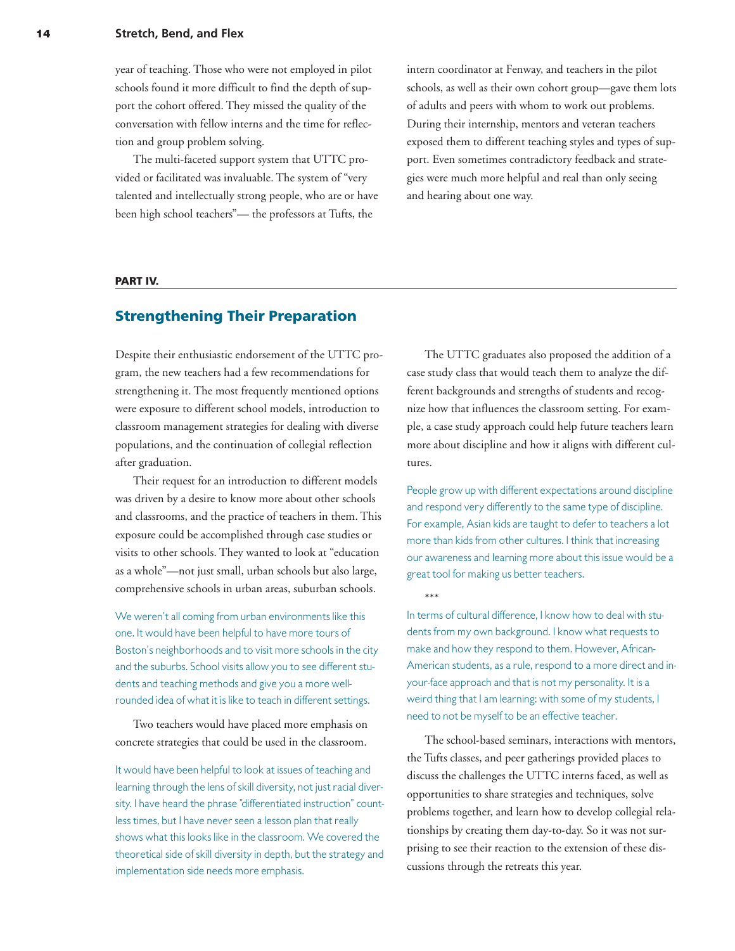#### **14 Stretch, Bend, and Flex**

year of teaching. Those who were not employed in pilot schools found it more difficult to find the depth of support the cohort offered. They missed the quality of the conversation with fellow interns and the time for reflection and group problem solving.

The multi-faceted support system that UTTC provided or facilitated was invaluable. The system of "very talented and intellectually strong people, who are or have been high school teachers"— the professors at Tufts, the

intern coordinator at Fenway, and teachers in the pilot schools, as well as their own cohort group—gave them lots of adults and peers with whom to work out problems. During their internship, mentors and veteran teachers exposed them to different teaching styles and types of support. Even sometimes contradictory feedback and strategies were much more helpful and real than only seeing and hearing about one way.

#### **PART IV.**

# **Strengthening Their Preparation**

Despite their enthusiastic endorsement of the UTTC program, the new teachers had a few recommendations for strengthening it. The most frequently mentioned options were exposure to different school models, introduction to classroom management strategies for dealing with diverse populations, and the continuation of collegial reflection after graduation.

Their request for an introduction to different models was driven by a desire to know more about other schools and classrooms, and the practice of teachers in them. This exposure could be accomplished through case studies or visits to other schools. They wanted to look at "education as a whole"—not just small, urban schools but also large, comprehensive schools in urban areas, suburban schools.

We weren't all coming from urban environments like this one. It would have been helpful to have more tours of Boston's neighborhoods and to visit more schools in the city and the suburbs. School visits allow you to see different students and teaching methods and give you a more wellrounded idea of what it is like to teach in different settings.

Two teachers would have placed more emphasis on concrete strategies that could be used in the classroom.

It would have been helpful to look at issues of teaching and learning through the lens of skill diversity, not just racial diversity. I have heard the phrase "differentiated instruction" countless times, but I have never seen a lesson plan that really shows what this looks like in the classroom. We covered the theoretical side of skill diversity in depth, but the strategy and implementation side needs more emphasis.

The UTTC graduates also proposed the addition of a case study class that would teach them to analyze the different backgrounds and strengths of students and recognize how that influences the classroom setting. For example, a case study approach could help future teachers learn more about discipline and how it aligns with different cultures.

People grow up with different expectations around discipline and respond very differently to the same type of discipline. For example, Asian kids are taught to defer to teachers a lot more than kids from other cultures. I think that increasing our awareness and learning more about this issue would be a great tool for making us better teachers.

\*\*\*

In terms of cultural difference, I know how to deal with students from my own background. I know what requests to make and how they respond to them. However, African-American students, as a rule, respond to a more direct and inyour-face approach and that is not my personality. It is a weird thing that I am learning: with some of my students, I need to not be myself to be an effective teacher.

The school-based seminars, interactions with mentors, the Tufts classes, and peer gatherings provided places to discuss the challenges the UTTC interns faced, as well as opportunities to share strategies and techniques, solve problems together, and learn how to develop collegial relationships by creating them day-to-day. So it was not surprising to see their reaction to the extension of these discussions through the retreats this year.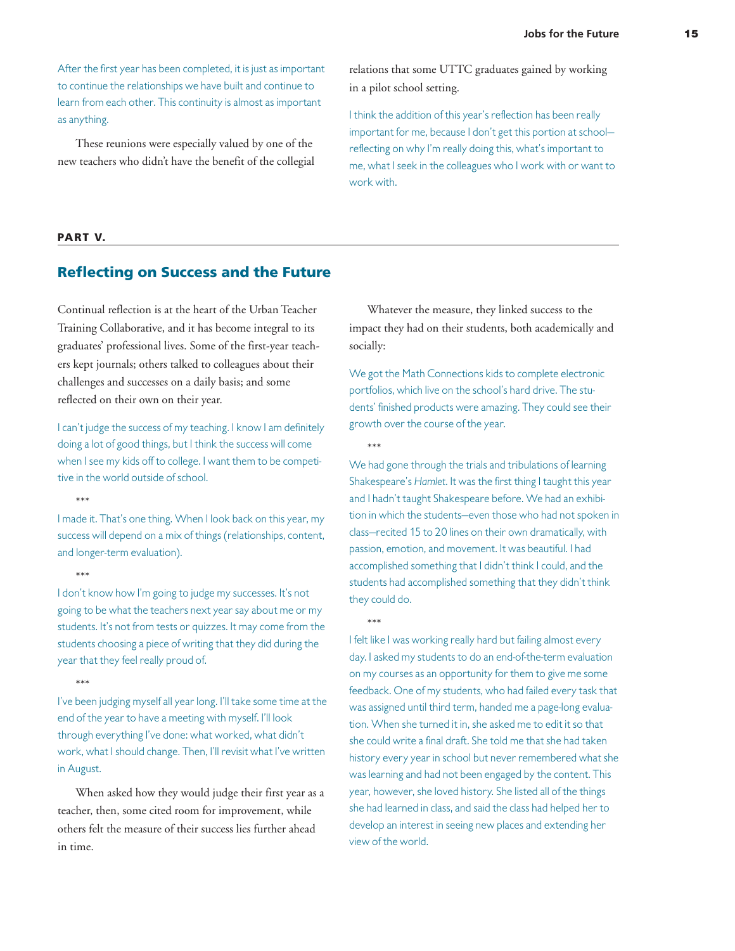After the first year has been completed, it is just as important to continue the relationships we have built and continue to learn from each other. This continuity is almost as important as anything.

These reunions were especially valued by one of the new teachers who didn't have the benefit of the collegial relations that some UTTC graduates gained by working in a pilot school setting.

I think the addition of this year's reflection has been really important for me, because I don't get this portion at school reflecting on why I'm really doing this, what's important to me, what I seek in the colleagues who I work with or want to work with.

#### **PART V.**

### **Reflecting on Success and the Future**

Continual reflection is at the heart of the Urban Teacher Training Collaborative, and it has become integral to its graduates' professional lives. Some of the first-year teachers kept journals; others talked to colleagues about their challenges and successes on a daily basis; and some reflected on their own on their year.

I can't judge the success of my teaching. I know I am definitely doing a lot of good things, but I think the success will come when I see my kids off to college. I want them to be competitive in the world outside of school.

\*\*\*

I made it. That's one thing. When I look back on this year, my success will depend on a mix of things (relationships, content, and longer-term evaluation).

 $***$ 

I don't know how I'm going to judge my successes. It's not going to be what the teachers next year say about me or my students. It's not from tests or quizzes. It may come from the students choosing a piece of writing that they did during the year that they feel really proud of.

\*\*\*

I've been judging myself all year long. I'll take some time at the end of the year to have a meeting with myself. I'll look through everything I've done: what worked, what didn't work, what I should change. Then, I'll revisit what I've written in August.

When asked how they would judge their first year as a teacher, then, some cited room for improvement, while others felt the measure of their success lies further ahead in time.

Whatever the measure, they linked success to the impact they had on their students, both academically and socially:

We got the Math Connections kids to complete electronic portfolios, which live on the school's hard drive. The students' finished products were amazing. They could see their growth over the course of the year.

\*\*\*

We had gone through the trials and tribulations of learning Shakespeare's Hamlet. It was the first thing I taught this year and I hadn't taught Shakespeare before. We had an exhibition in which the students—even those who had not spoken in class—recited 15 to 20 lines on their own dramatically, with passion, emotion, and movement. It was beautiful. I had accomplished something that I didn't think I could, and the students had accomplished something that they didn't think they could do.

\*\*\*

I felt like I was working really hard but failing almost every day. I asked my students to do an end-of-the-term evaluation on my courses as an opportunity for them to give me some feedback. One of my students, who had failed every task that was assigned until third term, handed me a page-long evaluation. When she turned it in, she asked me to edit it so that she could write a final draft. She told me that she had taken history every year in school but never remembered what she was learning and had not been engaged by the content. This year, however, she loved history. She listed all of the things she had learned in class, and said the class had helped her to develop an interest in seeing new places and extending her view of the world.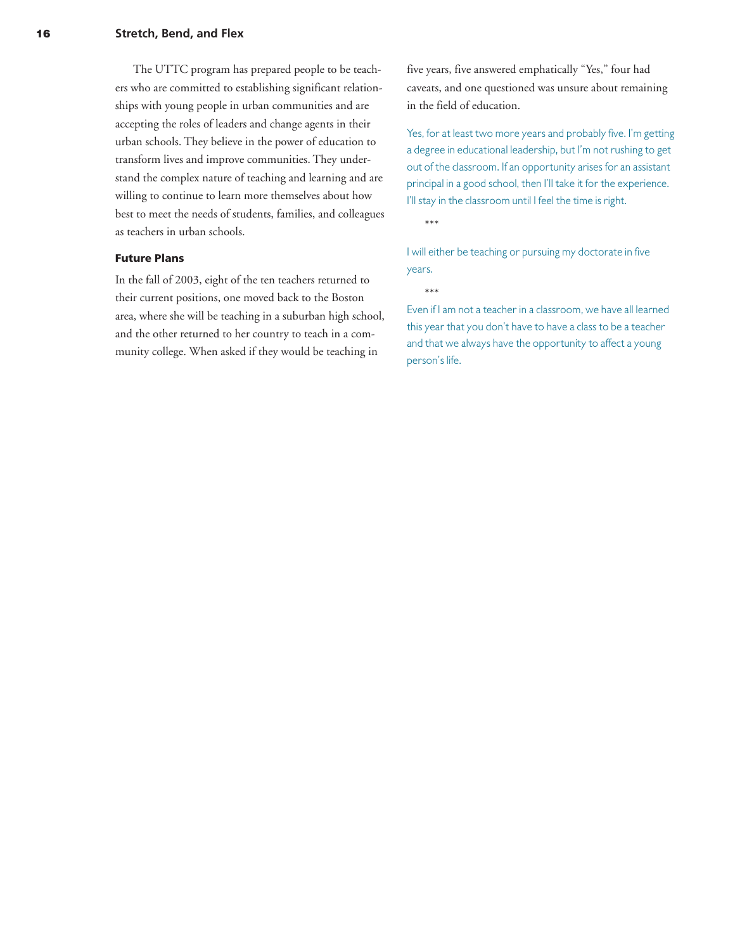The UTTC program has prepared people to be teachers who are committed to establishing significant relationships with young people in urban communities and are accepting the roles of leaders and change agents in their urban schools. They believe in the power of education to transform lives and improve communities. They understand the complex nature of teaching and learning and are willing to continue to learn more themselves about how best to meet the needs of students, families, and colleagues as teachers in urban schools.

#### **Future Plans**

In the fall of 2003, eight of the ten teachers returned to their current positions, one moved back to the Boston area, where she will be teaching in a suburban high school, and the other returned to her country to teach in a community college. When asked if they would be teaching in

five years, five answered emphatically "Yes," four had caveats, and one questioned was unsure about remaining in the field of education.

Yes, for at least two more years and probably five. I'm getting a degree in educational leadership, but I'm not rushing to get out of the classroom. If an opportunity arises for an assistant principal in a good school, then I'll take it for the experience. I'll stay in the classroom until I feel the time is right.

\*\*\*

I will either be teaching or pursuing my doctorate in five years.

\*\*\*

Even if I am not a teacher in a classroom, we have all learned this year that you don't have to have a class to be a teacher and that we always have the opportunity to affect a young person's life.